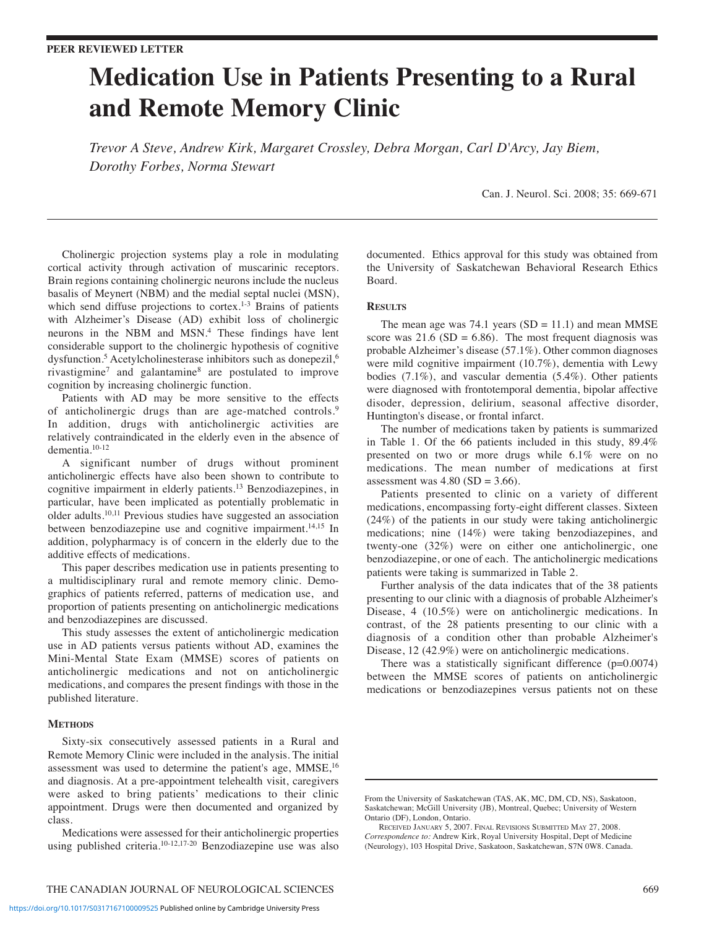# **Medication Use in Patients Presenting to a Rural and Remote Memory Clinic**

*Trevor A Steve, Andrew Kirk, Margaret Crossley, Debra Morgan, Carl D'Arcy, Jay Biem, Dorothy Forbes, Norma Stewart*

Can. J. Neurol. Sci. 2008; 35: 669-671

Cholinergic projection systems play a role in modulating cortical activity through activation of muscarinic receptors. Brain regions containing cholinergic neurons include the nucleus basalis of Meynert (NBM) and the medial septal nuclei (MSN), which send diffuse projections to cortex.<sup>1-3</sup> Brains of patients with Alzheimer's Disease (AD) exhibit loss of cholinergic neurons in the NBM and MSN. <sup>4</sup> These findings have lent considerable support to the cholinergic hypothesis of cognitive dysfunction.<sup>5</sup> Acetylcholinesterase inhibitors such as donepezil,<sup>6</sup> rivastigmine7 and galantamine8 are postulated to improve cognition by increasing cholinergic function.

Patients with AD may be more sensitive to the effects of anticholinergic drugs than are age-matched controls. 9 In addition, drugs with anticholinergic activities are relatively contraindicated in the elderly even in the absence of dementia. 10-12

A significant number of drugs without prominent anticholinergic effects have also been shown to contribute to cognitive impairment in elderly patients. <sup>13</sup> Benzodiazepines, in particular, have been implicated as potentially problematic in older adults. 10,11 Previous studies have suggested an association between benzodiazepine use and cognitive impairment. 14,15 In addition, polypharmacy is of concern in the elderly due to the additive effects of medications.

This paper describes medication use in patients presenting to a multidisciplinary rural and remote memory clinic. Demographics of patients referred, patterns of medication use, and proportion of patients presenting on anticholinergic medications and benzodiazepines are discussed.

This study assesses the extent of anticholinergic medication use in AD patients versus patients without AD, examines the Mini-Mental State Exam (MMSE) scores of patients on anticholinergic medications and not on anticholinergic medications, and compares the present findings with those in the published literature.

## **METHODS**

Sixty-six consecutively assessed patients in a Rural and Remote Memory Clinic were included in the analysis. The initial assessment was used to determine the patient's age, MMSE,<sup>16</sup> and diagnosis. At a pre-appointment telehealth visit, caregivers were asked to bring patients' medications to their clinic appointment. Drugs were then documented and organized by class.

Medications were assessed for their anticholinergic properties using published criteria. 10-12,17-20 Benzodiazepine use was also

documented. Ethics approval for this study was obtained from the University of Saskatchewan Behavioral Research Ethics Board.

## **RESULTS**

The mean age was 74.1 years  $(SD = 11.1)$  and mean MMSE score was  $21.6$  (SD = 6.86). The most frequent diagnosis was probable Alzheimer's disease (57.1%). Other common diagnoses were mild cognitive impairment (10.7%), dementia with Lewy bodies (7.1%), and vascular dementia (5.4%). Other patients were diagnosed with frontotemporal dementia, bipolar affective disoder, depression, delirium, seasonal affective disorder, Huntington's disease, or frontal infarct.

The number of medications taken by patients is summarized in Table 1. Of the 66 patients included in this study, 89.4% presented on two or more drugs while 6.1% were on no medications. The mean number of medications at first assessment was  $4.80$  (SD =  $3.66$ ).

Patients presented to clinic on a variety of different medications, encompassing forty-eight different classes. Sixteen (24%) of the patients in our study were taking anticholinergic medications; nine (14%) were taking benzodiazepines, and twenty-one (32%) were on either one anticholinergic, one benzodiazepine, or one of each. The anticholinergic medications patients were taking is summarized in Table 2.

Further analysis of the data indicates that of the 38 patients presenting to our clinic with a diagnosis of probable Alzheimer's Disease, 4 (10.5%) were on anticholinergic medications. In contrast, of the 28 patients presenting to our clinic with a diagnosis of a condition other than probable Alzheimer's Disease, 12 (42.9%) were on anticholinergic medications.

There was a statistically significant difference  $(p=0.0074)$ between the MMSE scores of patients on anticholinergic medications or benzodiazepines versus patients not on these

From the University of Saskatchewan (TAS, AK, MC, DM, CD, NS), Saskatoon, Saskatchewan; McGill University (JB), Montreal, Quebec; University of Western Ontario (DF), London, Ontario.

RECEIVED JANUARY 5, 2007. FINAL REVISIONS SUBMITTED MAY 27, 2008. *Correspondence to:* Andrew Kirk, Royal University Hospital, Dept of Medicine (Neurology), 103 Hospital Drive, Saskatoon, Saskatchewan, S7N 0W8. Canada.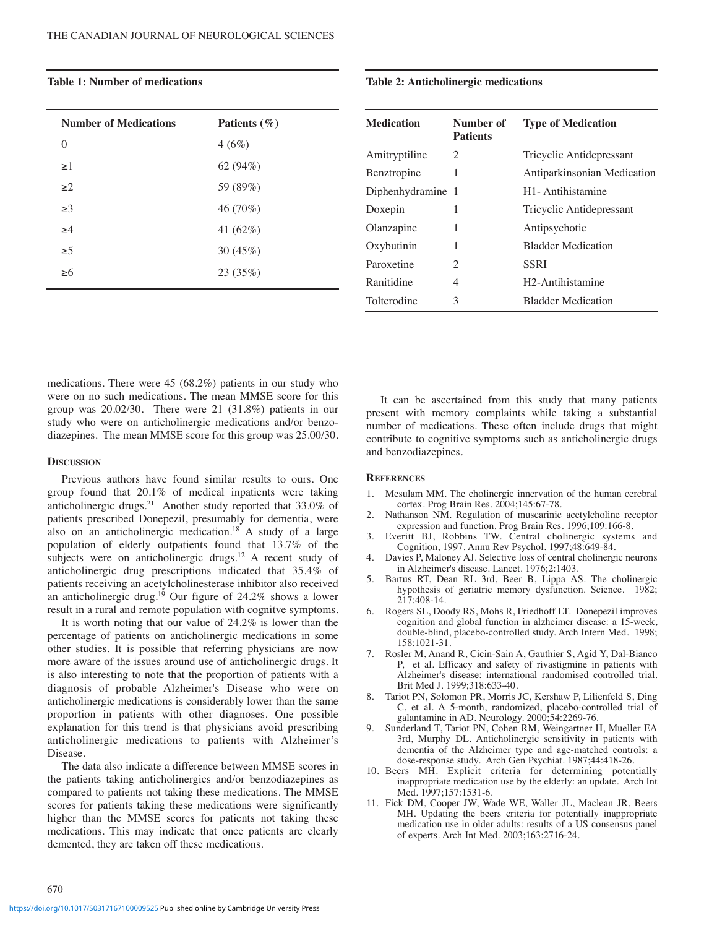| <b>Number of Medications</b> | Patients $(\% )$ |
|------------------------------|------------------|
| $\theta$                     | 4(6%)            |
| $\geq$ 1                     | 62 $(94%)$       |
| $\geq$ 2                     | 59 (89%)         |
| $\geq$ 3                     | 46 (70%)         |
| $\geq 4$                     | 41 $(62\%)$      |
| $\geq 5$                     | 30 $(45%)$       |
| $\geq 6$                     | 23 (35%)         |
|                              |                  |

# **Table 1: Number of medications**

### **Table 2: Anticholinergic medications**

| <b>Medication</b> | Number of<br><b>Patients</b> | <b>Type of Medication</b>     |
|-------------------|------------------------------|-------------------------------|
| Amitryptiline     | $\mathcal{D}_{\mathcal{L}}$  | Tricyclic Antidepressant      |
| Benztropine       | 1                            | Antiparkinsonian Medication   |
| Diphenhydramine 1 |                              | H <sub>1</sub> -Antihistamine |
| Doxepin           | 1                            | Tricyclic Antidepressant      |
| Olanzapine        | 1                            | Antipsychotic                 |
| Oxybutinin        | 1                            | <b>Bladder Medication</b>     |
| Paroxetine        | $\mathcal{D}_{\mathcal{L}}$  | <b>SSRI</b>                   |
| Ranitidine        | 4                            | H <sub>2</sub> -Antihistamine |
| Tolterodine       | 3                            | <b>Bladder Medication</b>     |

medications. There were 45 (68.2%) patients in our study who were on no such medications. The mean MMSE score for this group was 20.02/30. There were 21 (31.8%) patients in our study who were on anticholinergic medications and/or benzodiazepines. The mean MMSE score for this group was 25.00/30.

## **DISCUSSION**

Previous authors have found similar results to ours. One group found that 20.1% of medical inpatients were taking anticholinergic drugs.<sup>21</sup> Another study reported that 33.0% of patients prescribed Donepezil, presumably for dementia, were also on an anticholinergic medication. <sup>18</sup> A study of a large population of elderly outpatients found that 13.7% of the subjects were on anticholinergic drugs. <sup>12</sup> A recent study of anticholinergic drug prescriptions indicated that 35.4% of patients receiving an acetylcholinesterase inhibitor also received an anticholinergic drug. <sup>19</sup> Our figure of 24.2% shows a lower result in a rural and remote population with cognitve symptoms.

It is worth noting that our value of 24.2% is lower than the percentage of patients on anticholinergic medications in some other studies. It is possible that referring physicians are now more aware of the issues around use of anticholinergic drugs. It is also interesting to note that the proportion of patients with a diagnosis of probable Alzheimer's Disease who were on anticholinergic medications is considerably lower than the same proportion in patients with other diagnoses. One possible explanation for this trend is that physicians avoid prescribing anticholinergic medications to patients with Alzheimer's Disease.

The data also indicate a difference between MMSE scores in the patients taking anticholinergics and/or benzodiazepines as compared to patients not taking these medications. The MMSE scores for patients taking these medications were significantly higher than the MMSE scores for patients not taking these medications. This may indicate that once patients are clearly demented, they are taken off these medications.

It can be ascertained from this study that many patients present with memory complaints while taking a substantial number of medications. These often include drugs that might contribute to cognitive symptoms such as anticholinergic drugs and benzodiazepines.

#### **REFERENCES**

- 1. Mesulam MM. The cholinergic innervation of the human cerebral cortex. Prog Brain Res. 2004;145:67-78.
- 2. Nathanson NM. Regulation of muscarinic acetylcholine receptor expression and function. Prog Brain Res. 1996;109:166-8.
- 3. Everitt BJ, Robbins TW. Central cholinergic systems and Cognition, 1997. Annu Rev Psychol. 1997;48:649-84.
- 4. Davies P, Maloney AJ. Selective loss of central cholinergic neurons in Alzheimer's disease. Lancet. 1976;2:1403.
- 5. Bartus RT, Dean RL 3rd, Beer B, Lippa AS. The cholinergic hypothesis of geriatric memory dysfunction. Science. 1982; 217:408-14.
- 6. Rogers SL, Doody RS, Mohs R, Friedhoff LT. Donepezil improves cognition and global function in alzheimer disease: a 15-week, double-blind, placebo-controlled study. Arch Intern Med. 1998; 158:1021-31.
- 7. Rosler M, Anand R, Cicin-Sain A, Gauthier S, Agid Y, Dal-Bianco P, et al. Efficacy and safety of rivastigmine in patients with Alzheimer's disease: international randomised controlled trial. Brit Med J. 1999;318:633-40.
- 8. Tariot PN, Solomon PR, Morris JC, Kershaw P, Lilienfeld S, Ding C, et al. A 5-month, randomized, placebo-controlled trial of galantamine in AD. Neurology. 2000;54:2269-76.
- 9. Sunderland T, Tariot PN, Cohen RM, Weingartner H, Mueller EA 3rd, Murphy DL. Anticholinergic sensitivity in patients with dementia of the Alzheimer type and age-matched controls: a dose-response study. Arch Gen Psychiat. 1987;44:418-26.
- 10. Beers MH. Explicit criteria for determining potentially inappropriate medication use by the elderly: an update. Arch Int Med. 1997;157:1531-6.
- 11. Fick DM, Cooper JW, Wade WE, Waller JL, Maclean JR, Beers MH. Updating the beers criteria for potentially inappropriate medication use in older adults: results of a US consensus panel of experts. Arch Int Med. 2003;163:2716-24.